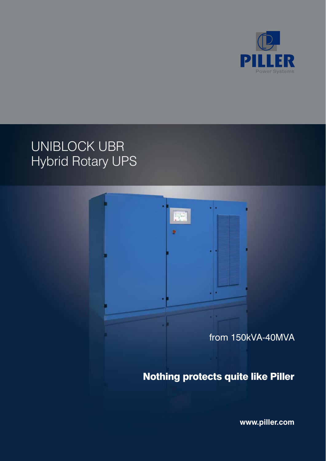

# UNIBLOCK UBR Hybrid Rotary UPS



**www.piller.com**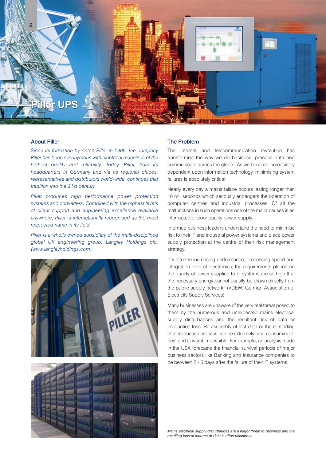

### About Piller

*Since its formation by Anton Piller in 1909, the company Piller has been synonymous with electrical machines of the highest quality and reliability. Today, Piller, from its headquarters in Germany and via its regional offices, representatives and distributors world-wide, continues that tradition into the 21st century.* 

*Piller produces high performance power protection systems and converters. Combined with the highest levels of client support and engineering excellence available anywhere, Piller is internationally recognised as the most respected name in its field.* 

*Piller is a wholly owned subsidiary of the multi-disciplined global UK engineering group, Langley Holdings plc. (www.langleyholdings.com)*





## The Problem

The internet and telecommunication revolution has transformed the way we do business, process data and communicate across the globe. As we become increasingly dependent upon information technology, minimising system failures is absolutely critical.

Nearly every day a mains failure occurs lasting longer than 10 milliseconds which seriously endangers the operation of computer centres and industrial processes. Of all the malfunctions in such operations one of the major causes is an interrupted or poor quality power supply.

Informed business leaders understand the need to minimise risk to their IT and industrial power systems and place power supply protection at the centre of their risk management strategy.

"Due to the increasing performance, processing speed and integration level of electronics, the requirements placed on the quality of power supplied to IT systems are so high that the necessary energy cannot usually be drawn directly from the public supply network" (VDEW: German Association of Electricity Supply Services).

Many businesses are unaware of the very real threat posed to them by the numerous and unexpected mains electrical supply disturbances and the resultant risk of data or production loss. Re-assembly of lost data or the re-starting of a production process can be extremely time-consuming at best and at worst impossible. For example, an analysis made in the USA forecasts the financial survival periods of major business sectors like Banking and Insurance companies to be between 2 - 5 days after the failure of their IT systems.

*Mains electrical supply disturbances are a major threat to business and the resulting loss of income or data is often disastrous.*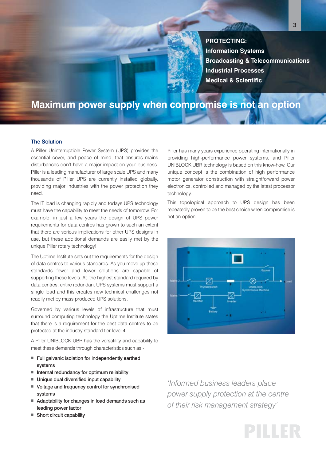**PROTECTING: Information Systems Broadcasting & Telecommunications Industrial Processes Medical & Scientific**

3

## **Maximum power supply when compromise is not an option**

## The Solution

A Piller Uninterruptible Power System (UPS) provides the essential cover, and peace of mind, that ensures mains disturbances don't have a major impact on your business. Piller is a leading manufacturer of large scale UPS and many thousands of Piller UPS are currently installed globally, providing major industries with the power protection they need.

The IT load is changing rapidly and todays UPS technology must have the capability to meet the needs of tomorrow. For example, in just a few years the design of UPS power requirements for data centres has grown to such an extent that there are serious implications for other UPS designs in use, but these additional demands are easily met by the unique Piller rotary technology!

The Uptime Institute sets out the requirements for the design of data centres to various standards. As you move up these standards fewer and fewer solutions are capable of supporting these levels. At the highest standard required by data centres, entire redundant UPS systems must support a single load and this creates new technical challenges not readily met by mass produced UPS solutions.

Governed by various levels of infrastructure that must surround computing technology the Uptime Institute states that there is a requirement for the best data centres to be protected at the industry standard tier level 4.

A Piller UNIBLOCK UBR has the versatility and capability to meet these demands through characteristics such as:-

- Full galvanic isolation for independently earthed systems
- Internal redundancy for optimum reliability
- Unique dual diversified input capability
- Voltage and frequency control for synchronised systems
- Adaptability for changes in load demands such as leading power factor
- Short circuit capability

Piller has many years experience operating internationally in providing high-performance power systems, and Piller UNIBLOCK UBR technology is based on this know-how. Our unique concept is the combination of high performance motor generator construction with straightforward power electronics, controlled and managed by the latest processor technology.

This topological approach to UPS design has been repeatedly proven to be the best choice when compromise is not an option.



*'Informed business leaders place power supply protection at the centre of their risk management strategy'*

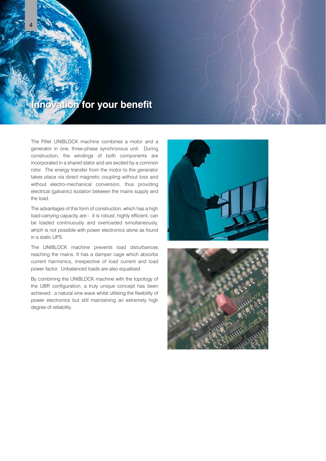

The Piller UNIBLOCK machine combines a motor and a generator in one, three-phase synchronous unit. During construction, the windings of both components are incorporated in a shared stator and are excited by a common rotor. The energy transfer from the motor to the generator takes place via direct magnetic coupling without loss and without electro-mechanical conversion, thus providing electrical (galvanic) isolation between the mains supply and the load.

The advantages of this form of construction, which has a high load-carrying capacity are:- it is robust, highly efficient, can be loaded continuously and overloaded simultaneously, which is not possible with power electronics alone as found in a static UPS.

The UNIBLOCK machine prevents load disturbances reaching the mains. It has a damper cage which absorbs current harmonics, irrespective of load current and load power factor. Unbalanced loads are also equalised.

By combining the UNIBLOCK machine with the topology of the UBR configuration, a truly unique concept has been achieved: a natural sine wave whilst utilising the flexibility of power electronics but still maintaining an extremely high degree of reliability.



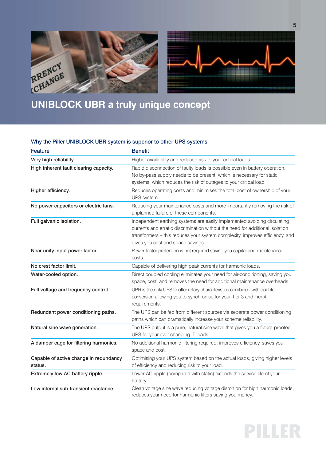



# **UNIBLOCK UBR a truly unique concept**

## Why the Piller UNIBLOCK UBR system is superior to other UPS systems

| Feature                                           | <b>Benefit</b>                                                                                                                                                                                                                                                                 |  |  |
|---------------------------------------------------|--------------------------------------------------------------------------------------------------------------------------------------------------------------------------------------------------------------------------------------------------------------------------------|--|--|
| Very high reliability.                            | Higher availability and reduced risk to your critical loads.                                                                                                                                                                                                                   |  |  |
| High inherent fault clearing capacity.            | Rapid disconnection of faulty loads is possible even in battery operation.<br>No by-pass supply needs to be present, which is necessary for static<br>systems, which reduces the risk of outages to your critical load.                                                        |  |  |
| Higher efficiency.                                | Reduces operating costs and minimises the total cost of ownership of your<br>UPS system.                                                                                                                                                                                       |  |  |
| No power capacitors or electric fans.             | Reducing your maintenance costs and more importantly removing the risk of<br>unplanned failure of these components.                                                                                                                                                            |  |  |
| Full galvanic isolation.                          | Independent earthing systems are easily implemented avoiding circulating<br>currents and erratic discrimination without the need for additional isolation<br>transformers - this reduces your system complexity, improves efficiency, and<br>gives you cost and space savings. |  |  |
| Near unity input power factor.                    | Power factor protection is not required saving you capital and maintenance<br>costs.                                                                                                                                                                                           |  |  |
| No crest factor limit.                            | Capable of delivering high peak currents for harmonic loads.                                                                                                                                                                                                                   |  |  |
| Water-cooled option.                              | Direct coupled cooling eliminates your need for air-conditioning, saving you<br>space, cost, and removes the need for additional maintenance overheads.                                                                                                                        |  |  |
| Full voltage and frequency control.               | UBR is the only UPS to offer rotary characteristics combined with double<br>conversion allowing you to synchronise for your Tier 3 and Tier 4<br>requirements.                                                                                                                 |  |  |
| Redundant power conditioning paths.               | The UPS can be fed from different sources via separate power conditioning<br>paths which can dramatically increase your scheme reliability.                                                                                                                                    |  |  |
| Natural sine wave generation.                     | The UPS output is a pure, natural sine wave that gives you a future-proofed<br>UPS for your ever changing IT loads                                                                                                                                                             |  |  |
| A damper cage for filtering harmonics.            | No additional harmonic filtering required; improves efficiency, saves you<br>space and cost.                                                                                                                                                                                   |  |  |
| Capable of active change in redundancy<br>status. | Optimising your UPS system based on the actual loads, giving higher levels<br>of efficiency and reducing risk to your load.                                                                                                                                                    |  |  |
| Extremely low AC battery ripple.                  | Lower AC ripple (compared with static) extends the service life of your<br>battery.                                                                                                                                                                                            |  |  |
| Low internal sub-transient reactance.             | Clean voltage sine wave reducing voltage distortion for high harmonic loads,<br>reduces your need for harmonic filters saving you money.                                                                                                                                       |  |  |

PILLER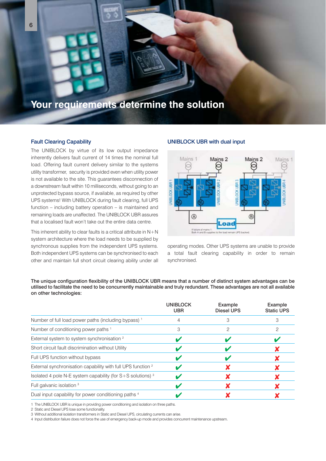

## Fault Clearing Capability

The UNIBLOCK by virtue of its low output impedance inherently delivers fault current of 14 times the nominal full load. Offering fault current delivery similar to the systems utility transformer, security is provided even when utility power is not available to the site. This guarantees disconnection of a downstream fault within 10 milliseconds, without going to an unprotected bypass source, if available, as required by other UPS systems! With UNIBLOCK during fault clearing, full UPS function – including battery operation – is maintained and remaining loads are unaffected. The UNIBLOCK UBR assures that a localised fault won't take out the entire data centre.

This inherent ability to clear faults is a critical attribute in  $N+N$ system architecture where the load needs to be supplied by synchronous supplies from the independent UPS systems. Both independent UPS systems can be synchronised to each other and maintain full short circuit clearing ability under all

## UNIBLOCK UBR with dual input



operating modes. Other UPS systems are unable to provide a total fault clearing capability in order to remain synchronised.

The unique configuration flexibility of the UNIBLOCK UBR means that a number of distinct system advantages can be utilised to facilitate the need to be concurrently maintainable and truly redundant. These advantages are not all available on other technologies:

|                                                                         | <b>UNIBLOCK</b><br><b>UBR</b> | Example<br>Diesel UPS | Example<br><b>Static UPS</b> |
|-------------------------------------------------------------------------|-------------------------------|-----------------------|------------------------------|
| Number of full load power paths (including bypass) <sup>1</sup>         |                               |                       | З                            |
| Number of conditioning power paths 1                                    | З                             | 2                     | 2                            |
| External system to system synchronisation <sup>2</sup>                  |                               |                       |                              |
| Short circuit fault discrimination without Utility                      |                               |                       |                              |
| Full UPS function without bypass                                        |                               |                       |                              |
| External synchronisation capability with full UPS function <sup>2</sup> |                               |                       |                              |
| Isolated 4 pole N-E system capability (for $S+S$ solutions) $3$         |                               |                       |                              |
| Full galvanic isolation 3                                               |                               |                       |                              |
| Dual input capability for power conditioning paths <sup>4</sup>         |                               |                       |                              |

1 The UNIBLOCK UBR is unique in providing power conditioning and isolation on three paths.

2 Static and Diesel UPS lose some functionality.

3 Without additional isolation transformers in Static and Diesel UPS, circulating currents can arise.

4 Input distribution failure does not force the use of emergency back-up mode and provides concurrent maintenance upstream.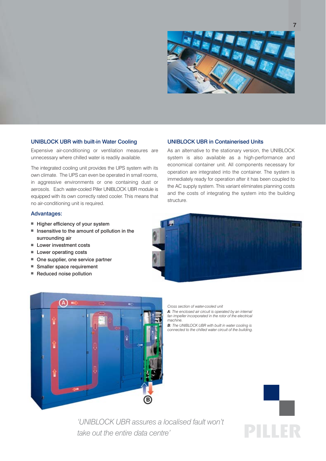

## UNIBLOCK UBR with built-in Water Cooling

Expensive air-conditioning or ventilation measures are unnecessary where chilled water is readily available.

The integrated cooling unit provides the UPS system with its own climate. The UPS can even be operated in small rooms, in aggressive environments or one containing dust or aerosols. Each water-cooled Piller UNIBLOCK UBR module is equipped with its own correctly rated cooler. This means that no air-conditioning unit is required.

#### Advantages:

- Higher efficiency of your system
- Insensitive to the amount of pollution in the surrounding air
- Lower investment costs
- Lower operating costs
- One supplier, one service partner
- Smaller space requirement
- Reduced noise pollution

#### UNIBLOCK UBR in Containerised Units

As an alternative to the stationary version, the UNIBLOCK system is also available as a high-performance and economical container unit. All components necessary for operation are integrated into the container. The system is immediately ready for operation after it has been coupled to the AC supply system. This variant eliminates planning costs and the costs of integrating the system into the building structure.





*Cross section of water-cooled unit*

*A: The enclosed air circuit is operated by an internal fan impeller incorporated in the rotor of the electrical machine.*

*B: The UNIBLOCK UBR with built in water cooling is connected to the chilled water circuit of the building.*



*'UNIBLOCK UBR assures a localised fault won't take out the entire data centre'*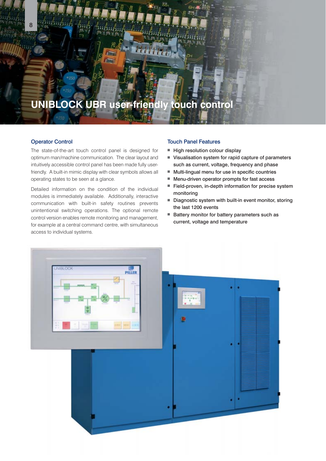## **UNIBLOCK UBR user-friendly touch control**

## Operator Control

8

The state-of-the-art touch control panel is designed for optimum man/machine communication. The clear layout and intuitively accessible control panel has been made fully userfriendly. A built-in mimic display with clear symbols allows all operating states to be seen at a glance.

Detailed information on the condition of the individual modules is immediately available. Additionally, interactive communication with built-in safety routines prevents unintentional switching operations. The optional remote control version enables remote monitoring and management, for example at a central command centre, with simultaneous access to individual systems.

#### Touch Panel Features

- High resolution colour display
- Visualisation system for rapid capture of parameters such as current, voltage, frequency and phase
- Multi-lingual menu for use in specific countries
- Menu-driven operator prompts for fast access
- Field-proven, in-depth information for precise system monitoring
- Diagnostic system with built-in event monitor, storing the last 1200 events
- Battery monitor for battery parameters such as current, voltage and temperature

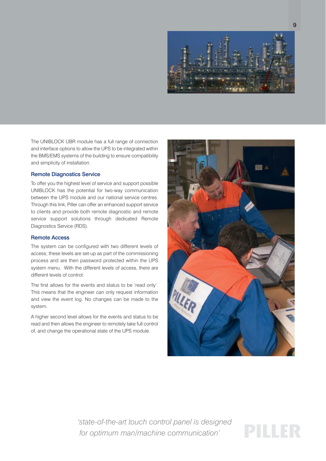

The UNIBLOCK UBR module has a full range of connection and interface options to allow the UPS to be integrated within the BMS/EMS systems of the building to ensure compatibility and simplicity of installation.

#### Remote Diagnostics Service

To offer you the highest level of service and support possible UNIBLOCK has the potential for two-way communication between the UPS module and our national service centres. Through this link, Piller can offer an enhanced support service to clients and provide both remote diagnostic and remote service support solutions through dedicated Remote Diagnostics Service (RDS).

## Remote Access

The system can be configured with two different levels of access; these levels are set-up as part of the commissioning process and are then password protected within the UPS system menu. With the different levels of access, there are different levels of control:

The first allows for the events and status to be 'read only'. This means that the engineer can only request information and view the event log. No changes can be made to the system.

A higher second level allows for the events and status to be read and then allows the engineer to remotely take full control of, and change the operational state of the UPS module.



*'state-of-the-art touch control panel is designed for optimum man/machine communication'*

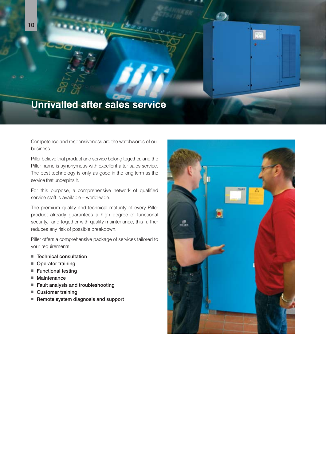

Competence and responsiveness are the watchwords of our business.

Piller believe that product and service belong together, and the Piller name is synonymous with excellent after sales service. The best technology is only as good in the long term as the service that underpins it.

For this purpose, a comprehensive network of qualified service staff is available – world-wide.

The premium quality and technical maturity of every Piller product already guarantees a high degree of functional security, and together with quality maintenance, this further reduces any risk of possible breakdown.

Piller offers a comprehensive package of services tailored to your requirements:

- Technical consultation
- Operator training
- Functional testing
- Maintenance
- Fault analysis and troubleshooting
- Customer training
- Remote system diagnosis and support

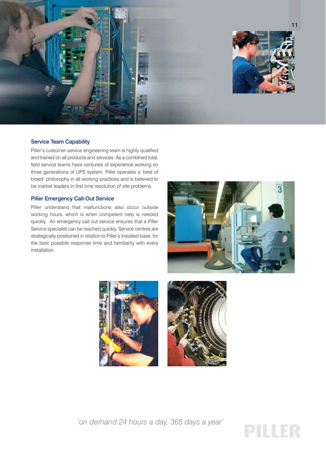

## Service Team Capability

Piller's customer service engineering team is highly qualified and trained on all products and services. As a combined total, field service teams have centuries of experience working on three generations of UPS system. Piller operates a 'best of breed' philosophy in all working practices and is believed to be market leaders in first time resolution of site problems.

## Piller Emergency Call-Out Service

Piller understand that malfunctions also occur outside working hours, which is when competent help is needed quickly. An emergency call out service ensures that a Piller Service specialist can be reached quickly. Service centres are strategically positioned in relation to Piller's installed base, for the best possible response time and familiarity with every installation.







*'on demand 24 hours a day, 365 days a year'*